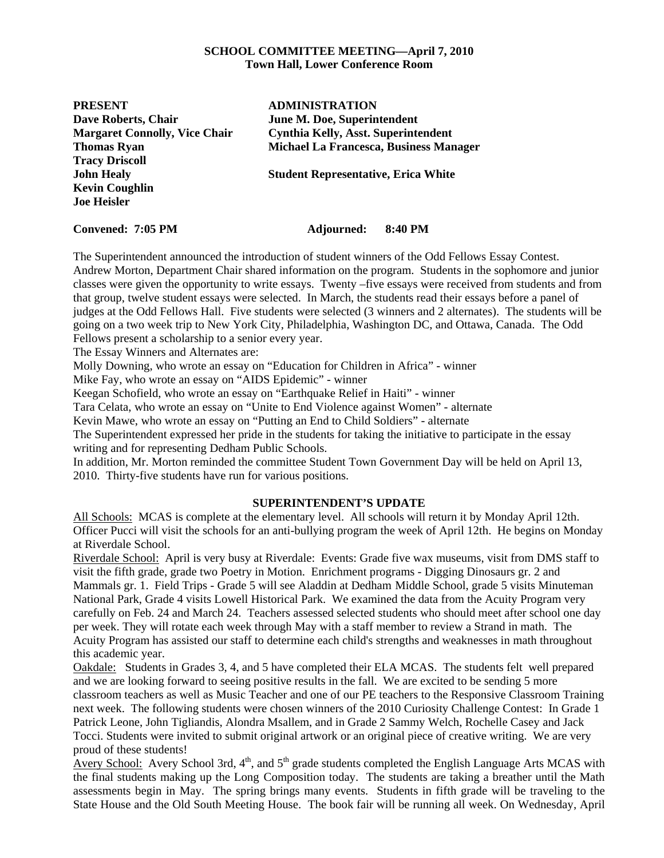# **SCHOOL COMMITTEE MEETING—April 7, 2010 Town Hall, Lower Conference Room**

**PRESENT ADMINISTRATION Dave Roberts, Chair June M. Doe, Superintendent Tracy Driscoll John Healy Student Representative, Erica White Kevin Coughlin Joe Heisler** 

**Margaret Connolly, Vice Chair Cynthia Kelly, Asst. Superintendent Thomas Ryan Michael La Francesca, Business Manager** 

**Convened: 7:05 PM Adjourned: 8:40 PM**

The Superintendent announced the introduction of student winners of the Odd Fellows Essay Contest. Andrew Morton, Department Chair shared information on the program. Students in the sophomore and junior classes were given the opportunity to write essays. Twenty –five essays were received from students and from that group, twelve student essays were selected. In March, the students read their essays before a panel of judges at the Odd Fellows Hall. Five students were selected (3 winners and 2 alternates). The students will be going on a two week trip to New York City, Philadelphia, Washington DC, and Ottawa, Canada. The Odd Fellows present a scholarship to a senior every year.

The Essay Winners and Alternates are:

Molly Downing, who wrote an essay on "Education for Children in Africa" - winner

Mike Fay, who wrote an essay on "AIDS Epidemic" - winner

Keegan Schofield, who wrote an essay on "Earthquake Relief in Haiti" - winner

Tara Celata, who wrote an essay on "Unite to End Violence against Women" - alternate

Kevin Mawe, who wrote an essay on "Putting an End to Child Soldiers" - alternate

The Superintendent expressed her pride in the students for taking the initiative to participate in the essay writing and for representing Dedham Public Schools.

In addition, Mr. Morton reminded the committee Student Town Government Day will be held on April 13, 2010. Thirty-five students have run for various positions.

# **SUPERINTENDENT'S UPDATE**

All Schools: MCAS is complete at the elementary level. All schools will return it by Monday April 12th. Officer Pucci will visit the schools for an anti-bullying program the week of April 12th. He begins on Monday at Riverdale School.

Riverdale School: April is very busy at Riverdale: Events: Grade five wax museums, visit from DMS staff to visit the fifth grade, grade two Poetry in Motion. Enrichment programs - Digging Dinosaurs gr. 2 and Mammals gr. 1. Field Trips - Grade 5 will see Aladdin at Dedham Middle School, grade 5 visits Minuteman National Park, Grade 4 visits Lowell Historical Park. We examined the data from the Acuity Program very carefully on Feb. 24 and March 24. Teachers assessed selected students who should meet after school one day per week. They will rotate each week through May with a staff member to review a Strand in math. The Acuity Program has assisted our staff to determine each child's strengths and weaknesses in math throughout this academic year.

Oakdale: Students in Grades 3, 4, and 5 have completed their ELA MCAS. The students felt well prepared and we are looking forward to seeing positive results in the fall. We are excited to be sending 5 more classroom teachers as well as Music Teacher and one of our PE teachers to the Responsive Classroom Training next week. The following students were chosen winners of the 2010 Curiosity Challenge Contest: In Grade 1 Patrick Leone, John Tigliandis, Alondra Msallem, and in Grade 2 Sammy Welch, Rochelle Casey and Jack Tocci. Students were invited to submit original artwork or an original piece of creative writing. We are very proud of these students!

Avery School: Avery School 3rd,  $4<sup>th</sup>$ , and  $5<sup>th</sup>$  grade students completed the English Language Arts MCAS with the final students making up the Long Composition today. The students are taking a breather until the Math assessments begin in May. The spring brings many events. Students in fifth grade will be traveling to the State House and the Old South Meeting House. The book fair will be running all week. On Wednesday, April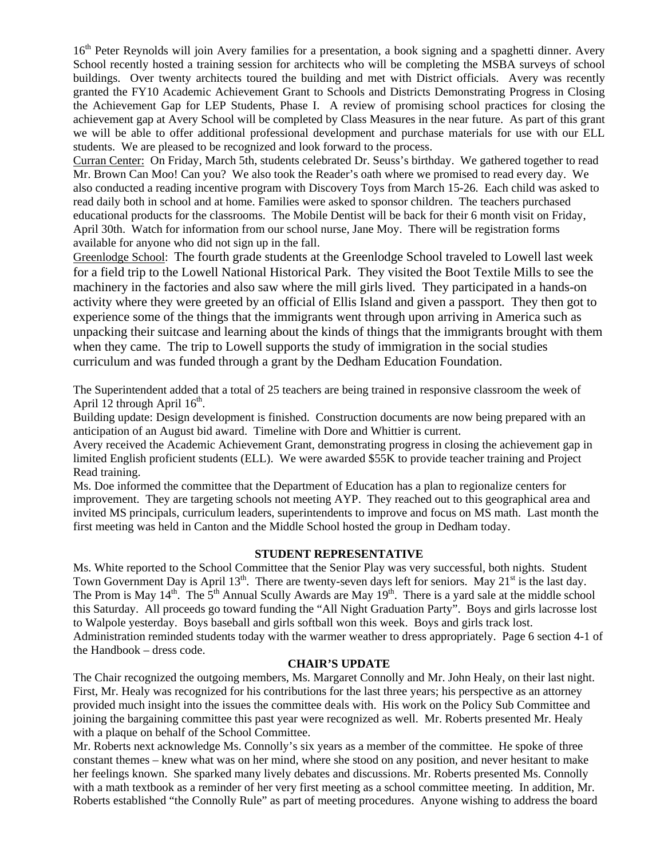16<sup>th</sup> Peter Reynolds will join Avery families for a presentation, a book signing and a spaghetti dinner. Avery School recently hosted a training session for architects who will be completing the MSBA surveys of school buildings. Over twenty architects toured the building and met with District officials. Avery was recently granted the FY10 Academic Achievement Grant to Schools and Districts Demonstrating Progress in Closing the Achievement Gap for LEP Students, Phase I. A review of promising school practices for closing the achievement gap at Avery School will be completed by Class Measures in the near future. As part of this grant we will be able to offer additional professional development and purchase materials for use with our ELL students. We are pleased to be recognized and look forward to the process.

Curran Center: On Friday, March 5th, students celebrated Dr. Seuss's birthday. We gathered together to read Mr. Brown Can Moo! Can you? We also took the Reader's oath where we promised to read every day. We also conducted a reading incentive program with Discovery Toys from March 15-26. Each child was asked to read daily both in school and at home. Families were asked to sponsor children. The teachers purchased educational products for the classrooms. The Mobile Dentist will be back for their 6 month visit on Friday, April 30th. Watch for information from our school nurse, Jane Moy. There will be registration forms available for anyone who did not sign up in the fall.

Greenlodge School: The fourth grade students at the Greenlodge School traveled to Lowell last week for a field trip to the Lowell National Historical Park. They visited the Boot Textile Mills to see the machinery in the factories and also saw where the mill girls lived. They participated in a hands-on activity where they were greeted by an official of Ellis Island and given a passport. They then got to experience some of the things that the immigrants went through upon arriving in America such as unpacking their suitcase and learning about the kinds of things that the immigrants brought with them when they came. The trip to Lowell supports the study of immigration in the social studies curriculum and was funded through a grant by the Dedham Education Foundation.

The Superintendent added that a total of 25 teachers are being trained in responsive classroom the week of April 12 through April  $16<sup>th</sup>$ .

Building update: Design development is finished. Construction documents are now being prepared with an anticipation of an August bid award. Timeline with Dore and Whittier is current.

Avery received the Academic Achievement Grant, demonstrating progress in closing the achievement gap in limited English proficient students (ELL). We were awarded \$55K to provide teacher training and Project Read training.

Ms. Doe informed the committee that the Department of Education has a plan to regionalize centers for improvement. They are targeting schools not meeting AYP. They reached out to this geographical area and invited MS principals, curriculum leaders, superintendents to improve and focus on MS math. Last month the first meeting was held in Canton and the Middle School hosted the group in Dedham today.

# **STUDENT REPRESENTATIVE**

Ms. White reported to the School Committee that the Senior Play was very successful, both nights. Student Town Government Day is April 13<sup>th</sup>. There are twenty-seven days left for seniors. May 21<sup>st</sup> is the last day. The Prom is May  $14^{\text{th}}$ . The  $5^{\text{th}}$  Annual Scully Awards are May  $19^{\text{th}}$ . There is a yard sale at the middle school this Saturday. All proceeds go toward funding the "All Night Graduation Party". Boys and girls lacrosse lost to Walpole yesterday. Boys baseball and girls softball won this week. Boys and girls track lost. Administration reminded students today with the warmer weather to dress appropriately. Page 6 section 4-1 of the Handbook – dress code.

## **CHAIR'S UPDATE**

The Chair recognized the outgoing members, Ms. Margaret Connolly and Mr. John Healy, on their last night. First, Mr. Healy was recognized for his contributions for the last three years; his perspective as an attorney provided much insight into the issues the committee deals with. His work on the Policy Sub Committee and joining the bargaining committee this past year were recognized as well. Mr. Roberts presented Mr. Healy with a plaque on behalf of the School Committee.

Mr. Roberts next acknowledge Ms. Connolly's six years as a member of the committee. He spoke of three constant themes – knew what was on her mind, where she stood on any position, and never hesitant to make her feelings known. She sparked many lively debates and discussions. Mr. Roberts presented Ms. Connolly with a math textbook as a reminder of her very first meeting as a school committee meeting. In addition, Mr. Roberts established "the Connolly Rule" as part of meeting procedures. Anyone wishing to address the board